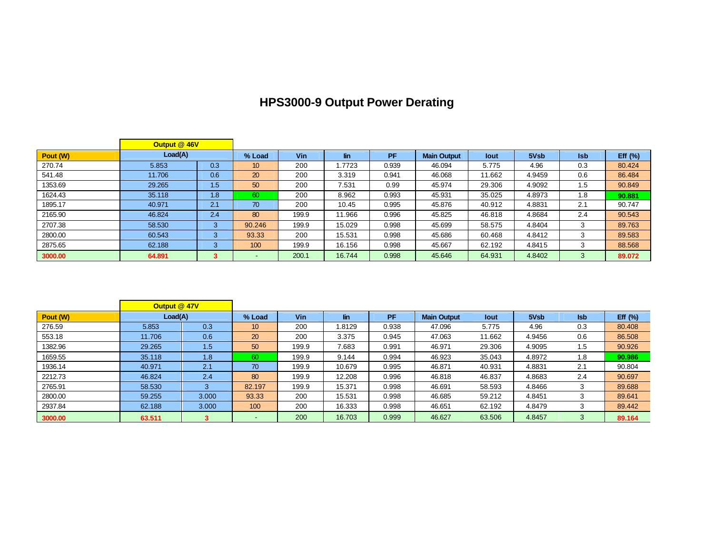## **HPS3000-9 Output Power Derating**

|          | Output @ 46V |     |        |            |        |           |                    |        |        |            |             |
|----------|--------------|-----|--------|------------|--------|-----------|--------------------|--------|--------|------------|-------------|
| Pout (W) | Load(A)      |     | % Load | <b>Vin</b> | lin    | <b>PF</b> | <b>Main Output</b> | lout   | 5Vsb   | <b>Isb</b> | Eff $(\% )$ |
| 270.74   | 5.853        | 0.3 | 10     | 200        | 1.7723 | 0.939     | 46.094             | 5.775  | 4.96   | 0.3        | 80.424      |
| 541.48   | 11.706       | 0.6 | 20     | 200        | 3.319  | 0.941     | 46.068             | 11.662 | 4.9459 | 0.6        | 86.484      |
| 1353.69  | 29.265       | 1.5 | 50     | 200        | 7.531  | 0.99      | 45.974             | 29.306 | 4.9092 | 1.5        | 90.849      |
| 1624.43  | 35.118       | 1.8 | 60     | 200        | 8.962  | 0.993     | 45.931             | 35.025 | 4.8973 | 1.8        | 90.881      |
| 1895.17  | 40.971       | 2.1 | 70     | 200        | 10.45  | 0.995     | 45.876             | 40.912 | 4.8831 | 2.1        | 90.747      |
| 2165.90  | 46.824       | 2.4 | 80     | 199.9      | 11.966 | 0.996     | 45.825             | 46.818 | 4.8684 | 2.4        | 90.543      |
| 2707.38  | 58.530       | 3   | 90.246 | 199.9      | 15.029 | 0.998     | 45.699             | 58.575 | 4.8404 | 3          | 89.763      |
| 2800.00  | 60.543       | 3   | 93.33  | 200        | 15.531 | 0.998     | 45.686             | 60.468 | 4.8412 |            | 89.583      |
| 2875.65  | 62.188       | 3   | 100    | 199.9      | 16.156 | 0.998     | 45.667             | 62.192 | 4.8415 |            | 88.568      |
| 3000.00  | 64.891       |     |        | 200.1      | 16.744 | 0.998     | 45.646             | 64.931 | 4.8402 |            | 89.072      |

F

÷.

|          | Output @ 47V |       |        |            |        |           |                    |        |        |            |             |
|----------|--------------|-------|--------|------------|--------|-----------|--------------------|--------|--------|------------|-------------|
| Pout (W) | Load(A)      |       | % Load | <b>Vin</b> | lin    | <b>PF</b> | <b>Main Output</b> | lout   | 5Vsb   | <b>Isb</b> | Eff $(\% )$ |
| 276.59   | 5.853        | 0.3   | 10     | 200        | .8129  | 0.938     | 47.096             | 5.775  | 4.96   | 0.3        | 80.408      |
| 553.18   | 11.706       | 0.6   | 20     | 200        | 3.375  | 0.945     | 47.063             | 11.662 | 4.9456 | 0.6        | 86.508      |
| 1382.96  | 29.265       | 1.5   | 50     | 199.9      | 7.683  | 0.991     | 46.971             | 29.306 | 4.9095 | 1.5        | 90.926      |
| 1659.55  | 35.118       | 1.8   | 60     | 199.9      | 9.144  | 0.994     | 46.923             | 35.043 | 4.8972 | 1.8        | 90.986      |
| 1936.14  | 40.971       | 2.1   | 70     | 199.9      | 10.679 | 0.995     | 46.871             | 40.931 | 4.8831 | 2.1        | 90.804      |
| 2212.73  | 46.824       | 2.4   | 80     | 199.9      | 12.208 | 0.996     | 46.818             | 46.837 | 4.8683 | 2.4        | 90.697      |
| 2765.91  | 58.530       | 3     | 82.197 | 199.9      | 15.371 | 0.998     | 46.691             | 58.593 | 4.8466 | 3          | 89.688      |
| 2800.00  | 59.255       | 3.000 | 93.33  | 200        | 15.531 | 0.998     | 46.685             | 59.212 | 4.8451 | 3          | 89.641      |
| 2937.84  | 62.188       | 3.000 | 100    | 200        | 16.333 | 0.998     | 46.651             | 62.192 | 4.8479 | 3          | 89.442      |
| 3000.00  | 63.511       |       |        | 200        | 16.703 | 0.999     | 46.627             | 63.506 | 4.8457 | 3          | 89.164      |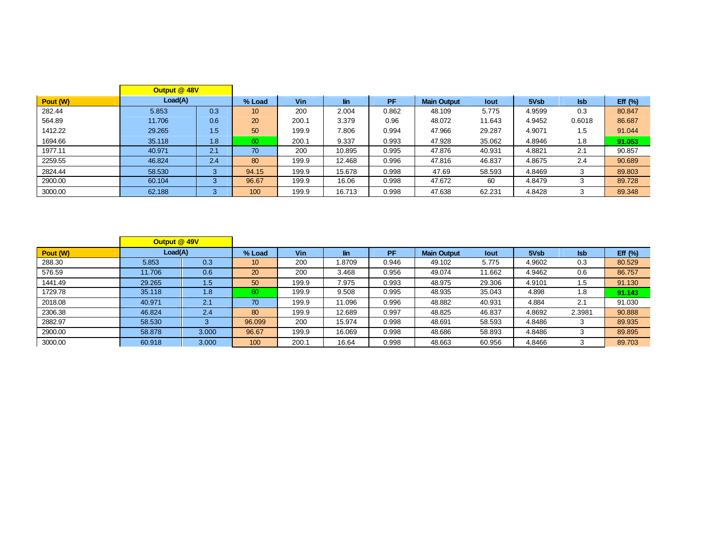|          | Output @ 48V |         |        |            |        |           |                    |        |        |            |             |
|----------|--------------|---------|--------|------------|--------|-----------|--------------------|--------|--------|------------|-------------|
| Pout (W) | Load(A)      |         | % Load | <b>Vin</b> | lin    | <b>PF</b> | <b>Main Output</b> | lout   | 5Vsb   | <b>Isb</b> | Eff $(\% )$ |
| 282.44   | 5.853        | 0.3     | 10     | 200        | 2.004  | 0.862     | 48.109             | 5.775  | 4.9599 | 0.3        | 80.847      |
| 564.89   | 11.706       | 0.6     | 20     | 200.1      | 3.379  | 0.96      | 48.072             | 11.643 | 4.9452 | 0.6018     | 86.687      |
| 1412.22  | 29.265       | 1.5     | 50     | 199.9      | 7.806  | 0.994     | 47.966             | 29.287 | 4.9071 | 1.5        | 91.044      |
| 1694.66  | 35.118       | 1.8     | 60     | 200.1      | 9.337  | 0.993     | 47.928             | 35.062 | 4.8946 | 1.8        | 91.053      |
| 1977.11  | 40.971       | 2.1     | 70     | 200        | 10.895 | 0.995     | 47.876             | 40.931 | 4.8821 | 2.1        | 90.857      |
| 2259.55  | 46.824       | 2.4     | 80     | 199.9      | 12.468 | 0.996     | 47.816             | 46.837 | 4.8675 | 2.4        | 90.689      |
| 2824.44  | 58.530       | 3       | 94.15  | 199.9      | 15.678 | 0.998     | 47.69              | 58.593 | 4.8469 | 3          | 89.803      |
| 2900.00  | 60.104       | ົ<br>-3 | 96.67  | 199.9      | 16.06  | 0.998     | 47.672             | 60     | 4.8479 |            | 89.728      |
| 3000.00  | 62.188       | 3       | 100    | 199.9      | 16.713 | 0.998     | 47.638             | 62.231 | 4.8428 | 3          | 89.348      |

|          | Output @ 49V |       |                 |            |        |           |                    |        |        |            |             |
|----------|--------------|-------|-----------------|------------|--------|-----------|--------------------|--------|--------|------------|-------------|
| Pout (W) | Load(A)      |       | % Load          | <b>Vin</b> | lin    | <b>PF</b> | <b>Main Output</b> | lout   | 5Vsb   | <b>Isb</b> | Eff $(\% )$ |
| 288.30   | 5.853        | 0.3   | 10 <sup>°</sup> | 200        | .8709  | 0.946     | 49.102             | 5.775  | 4.9602 | 0.3        | 80.529      |
| 576.59   | 11.706       | 0.6   | 20              | 200        | 3.468  | 0.956     | 49.074             | 11.662 | 4.9462 | 0.6        | 86.757      |
| 1441.49  | 29.265       | 1.5   | 50              | 199.9      | 7.975  | 0.993     | 48.975             | 29.306 | 4.9101 | 1.5        | 91.130      |
| 1729.78  | 35.118       | 1.8   | 60              | 199.9      | 9.508  | 0.995     | 48.935             | 35.043 | 4.898  | 1.8        | 91.143      |
| 2018.08  | 40.971       | 2.1   | 70              | 199.9      | 11.096 | 0.996     | 48.882             | 40.931 | 4.884  | 2.1        | 91.030      |
| 2306.38  | 46.824       | 2.4   | 80              | 199.9      | 12.689 | 0.997     | 48.825             | 46.837 | 4.8692 | 2.3981     | 90.888      |
| 2882.97  | 58.530       |       | 96.099          | 200        | 15.974 | 0.998     | 48.691             | 58.593 | 4.8486 | 3          | 89.935      |
| 2900.00  | 58.878       | 3.000 | 96.67           | 199.9      | 16.069 | 0.998     | 48.686             | 58.893 | 4.8486 |            | 89.895      |
| 3000.00  | 60.918       | 3.000 | 100             | 200.1      | 16.64  | 0.998     | 48.663             | 60.956 | 4.8466 |            | 89.703      |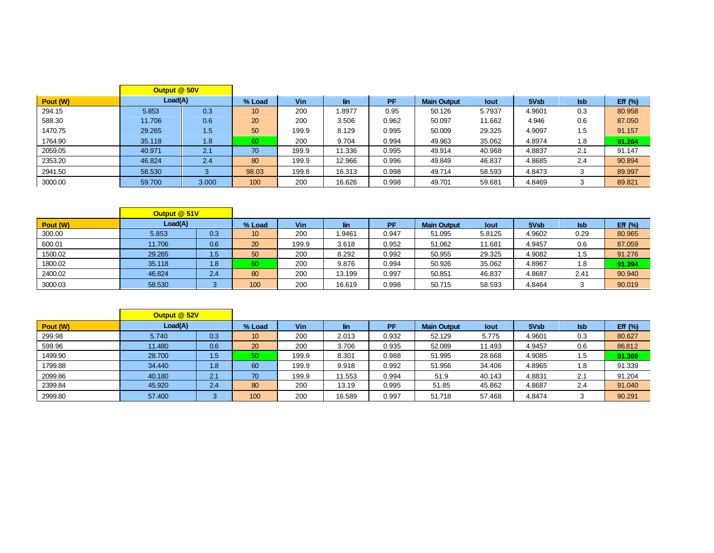|          | Output @ 50V |                  |        |            |        |       |                    |             |        |            |            |
|----------|--------------|------------------|--------|------------|--------|-------|--------------------|-------------|--------|------------|------------|
| Pout (W) | Load(A)      |                  | % Load | <b>Vin</b> | lin    | PF    | <b>Main Output</b> | <b>lout</b> | 5Vsb   | <b>Isb</b> | Eff $(\%)$ |
| 294.15   | 5.853        | 0.3              | 10     | 200        | .8977  | 0.95  | 50.126             | 5.7937      | 4.9601 | 0.3        | 80.958     |
| 588.30   | 11.706       | 0.6              | 20     | 200        | 3.506  | 0.962 | 50.097             | 11.662      | 4.946  | 0.6        | 87.050     |
| 1470.75  | 29.265       | 1.5 <sup>°</sup> | 50     | 199.9      | 8.129  | 0.995 | 50.009             | 29.325      | 4.9097 | 1.5        | 91.157     |
| 1764.90  | 35.118       | 1.8              | 60     | 200        | 9.704  | 0.994 | 49.963             | 35.062      | 4.8974 | 1.8        | 91.264     |
| 2059.05  | 40.971       | 2.1              | 70     | 199.9      | 11.336 | 0.995 | 49.914             | 40.968      | 4.8837 | 2.1        | 91.147     |
| 2353.20  | 46.824       | 2.4              | 80     | 199.9      | 12.966 | 0.996 | 49.849             | 46.837      | 4.8685 | 2.4        | 90.894     |
| 2941.50  | 58.530       |                  | 98.03  | 199.8      | 16.313 | 0.998 | 49.714             | 58.593      | 4.8473 |            | 89.997     |
| 3000.00  | 59.700       | 3.000            | 100    | 200        | 16.626 | 0.998 | 49.701             | 59.681      | 4.8469 |            | 89.821     |

|          | Output @ 51V |     |        |       |        |       |                    |        |        |            |            |
|----------|--------------|-----|--------|-------|--------|-------|--------------------|--------|--------|------------|------------|
| Pout (W) | Load(A)      |     | % Load | Vin   | lin.   | PF    | <b>Main Output</b> | lout   | 5Vsb   | <b>Isb</b> | Eff $(\%)$ |
| 300.00   | 5.853        | 0.3 | 10     | 200   | 9461.  | 0.947 | 51.095             | 5.8125 | 4.9602 | 0.29       | 80.965     |
| 600.01   | 11.706       | 0.6 | 20     | 199.9 | 3.618  | 0.952 | 51.062             | 11.681 | 4.9457 | 0.6        | 87.059     |
| 1500.02  | 29.265       | 1.5 | 50     | 200   | 8.292  | 0.992 | 50.955             | 29.325 | 4.9082 | 1.5        | 91.276     |
| 1800.02  | 35.118       | 1.8 | 60     | 200   | 9.876  | 0.994 | 50.926             | 35.062 | 4.8967 | 1.8        | 91.394     |
| 2400.02  | 46.824       | 2.4 | 80     | 200   | 13.199 | 0.997 | 50.851             | 46.837 | 4.8687 | 2.41       | 90.940     |
| 3000.03  | 58.530       |     | 100    | 200   | 16.619 | 0.998 | 50.715             | 58.593 | 4.8464 |            | 90.019     |

|          | Output @ 52V |     |                 |            |        |       |                    |        |        |            |             |
|----------|--------------|-----|-----------------|------------|--------|-------|--------------------|--------|--------|------------|-------------|
| Pout (W) | Load(A)      |     | % Load          | <b>Vin</b> | lin.   | PF    | <b>Main Output</b> | lout   | 5Vsb   | <b>Isb</b> | Eff $(\% )$ |
| 299.98   | 5.740        | 0.3 | 10 <sup>°</sup> | 200        | 2.013  | 0.932 | 52.129             | 5.775  | 4.9601 | 0.3        | 80.627      |
| 599.96   | 11.480       | 0.6 | 20              | 200        | 3.706  | 0.935 | 52.089             | 11.493 | 4.9457 | 0.6        | 86.812      |
| 1499.90  | 28.700       | 1.5 | 50              | 199.9      | 8.301  | 0.988 | 51.995             | 28.668 | 4.9085 | 1.5        | 91.369      |
| 1799.88  | 34.440       | 1.8 | 60              | 199.9      | 9.918  | 0.992 | 51.956             | 34.406 | 4.8965 | 1.8        | 91.339      |
| 2099.86  | 40.180       | 2.1 | 70              | 199.9      | 11.553 | 0.994 | 51.9               | 40.143 | 4.8831 | 2.1        | 91.204      |
| 2399.84  | 45.920       | 2.4 | 80              | 200        | 13.19  | 0.995 | 51.85              | 45.862 | 4.8687 | 2.4        | 91.040      |
| 2999.80  | 57.400       |     | 100             | 200        | 16.589 | 0.997 | 51.718             | 57.468 | 4.8474 |            | 90.291      |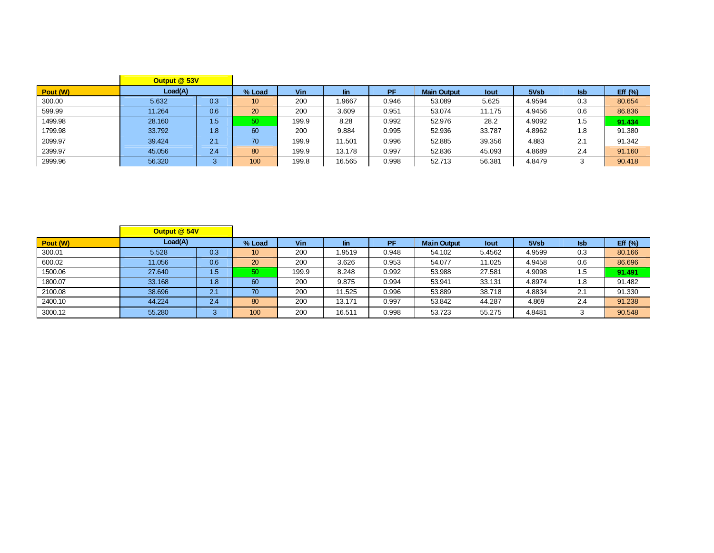|          | Output @ 53V |     |                 |            |        |       |                    |        |        |            |            |
|----------|--------------|-----|-----------------|------------|--------|-------|--------------------|--------|--------|------------|------------|
| Pout (W) | Load(A)      |     | % Load          | <b>Vin</b> | lin    | PF    | <b>Main Output</b> | lout   | 5Vsb   | <b>Isb</b> | Eff $(\%)$ |
| 300.00   | 5.632        | 0.3 | 10              | 200        | .9667  | 0.946 | 53.089             | 5.625  | 4.9594 | 0.3        | 80.654     |
| 599.99   | 11.264       | 0.6 | 20              | 200        | 3.609  | 0.951 | 53.074             | 11.175 | 4.9456 | 0.6        | 86.836     |
| 1499.98  | 28.160       | 1.5 | 50 <sub>1</sub> | 199.9      | 8.28   | 0.992 | 52.976             | 28.2   | 4.9092 | 1.5        | 91.434     |
| 1799.98  | 33.792       | 1.8 | 60              | 200        | 9.884  | 0.995 | 52.936             | 33.787 | 4.8962 | 1.8        | 91.380     |
| 2099.97  | 39.424       | 2.1 | 70              | 199.9      | 11.501 | 0.996 | 52.885             | 39.356 | 4.883  | 2.1        | 91.342     |
| 2399.97  | 45.056       | 2.4 | 80              | 199.9      | 13.178 | 0.997 | 52.836             | 45.093 | 4.8689 | 2.4        | 91.160     |
| 2999.96  | 56.320       | ົ   | 100             | 199.8      | 16.565 | 0.998 | 52.713             | 56.381 | 4.8479 |            | 90.418     |

|          | Output @ 54V |     |                 |            |        |       |                    |             |        |            |             |
|----------|--------------|-----|-----------------|------------|--------|-------|--------------------|-------------|--------|------------|-------------|
| Pout (W) | Load(A)      |     | % Load          | <b>Vin</b> | lin    | PF    | <b>Main Output</b> | <b>lout</b> | 5Vsb   | <b>Isb</b> | Eff $(\% )$ |
| 300.01   | 5.528        | 0.3 | 10 <sup>°</sup> | 200        | .9519  | 0.948 | 54.102             | 5.4562      | 4.9599 | 0.3        | 80.166      |
| 600.02   | 11.056       | 0.6 | 20              | 200        | 3.626  | 0.953 | 54.077             | 11.025      | 4.9458 | 0.6        | 86.696      |
| 1500.06  | 27.640       | 1.5 | 50              | 199.9      | 8.248  | 0.992 | 53.988             | 27.581      | 4.9098 | 1.5        | 91.491      |
| 1800.07  | 33.168       | 1.8 | 60              | 200        | 9.875  | 0.994 | 53.941             | 33.131      | 4.8974 | 1.8        | 91.482      |
| 2100.08  | 38.696       | 2.1 | 70              | 200        | 11.525 | 0.996 | 53.889             | 38.718      | 4.8834 | 2.1        | 91.330      |
| 2400.10  | 44.224       | 2.4 | 80              | 200        | 13.171 | 0.997 | 53.842             | 44.287      | 4.869  | 2.4        | 91.238      |
| 3000.12  | 55.280       |     | 100             | 200        | 16.511 | 0.998 | 53.723             | 55.275      | 4.8481 |            | 90.548      |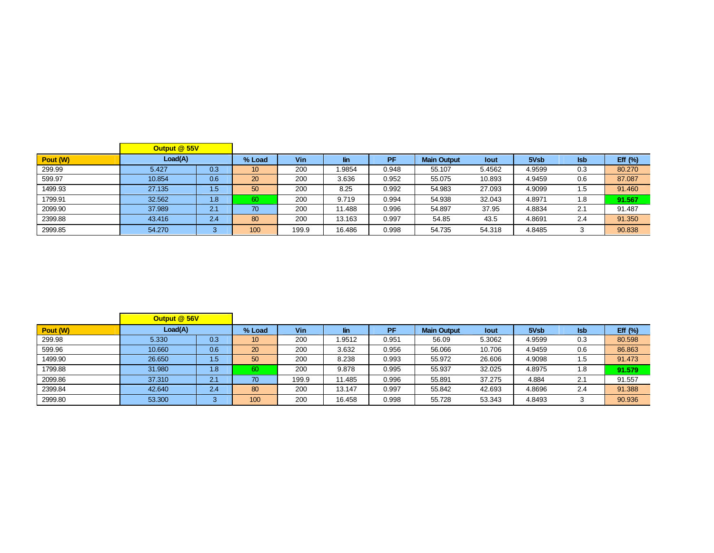|          | Output @ 55V |     |        |       |            |       |                    |        |        |            |             |
|----------|--------------|-----|--------|-------|------------|-------|--------------------|--------|--------|------------|-------------|
| Pout (W) | Load(A)      |     | % Load | Vin   | <b>lin</b> | PF    | <b>Main Output</b> | lout   | 5Vsb   | <b>Isb</b> | Eff $(\% )$ |
| 299.99   | 5.427        | 0.3 | 10     | 200   | l.9854     | 0.948 | 55.107             | 5.4562 | 4.9599 | 0.3        | 80.270      |
| 599.97   | 10.854       | 0.6 | 20     | 200   | 3.636      | 0.952 | 55.075             | 10.893 | 4.9459 | 0.6        | 87.087      |
| 1499.93  | 27.135       | 1.5 | 50     | 200   | 8.25       | 0.992 | 54.983             | 27.093 | 4.9099 | 1.5        | 91.460      |
| 1799.91  | 32.562       | 1.8 | 60     | 200   | 9.719      | 0.994 | 54.938             | 32.043 | 4.8971 | 1.8        | 91.567      |
| 2099.90  | 37.989       | 2.1 | 70     | 200   | 11.488     | 0.996 | 54.897             | 37.95  | 4.8834 | 2.1        | 91.487      |
| 2399.88  | 43.416       | 2.4 | 80     | 200   | 13.163     | 0.997 | 54.85              | 43.5   | 4.8691 | 2.4        | 91.350      |
| 2999.85  | 54,270       |     | 100    | 199.9 | 16.486     | 0.998 | 54.735             | 54.318 | 4.8485 |            | 90.838      |

|          | Output @ 56V |     |        |       |            |       |                    |        |        |            |            |
|----------|--------------|-----|--------|-------|------------|-------|--------------------|--------|--------|------------|------------|
| Pout (W) | Load(A)      |     | % Load | Vin   | <b>lin</b> | PF    | <b>Main Output</b> | lout   | 5Vsb   | <b>Isb</b> | Eff $(\%)$ |
| 299.98   | 5.330        | 0.3 | 10     | 200   | 1.9512     | 0.951 | 56.09              | 5.3062 | 4.9599 | 0.3        | 80.598     |
| 599.96   | 10.660       | 0.6 | 20     | 200   | 3.632      | 0.956 | 56.066             | 10.706 | 4.9459 | 0.6        | 86.863     |
| 1499.90  | 26.650       | 1.5 | 50     | 200   | 8.238      | 0.993 | 55.972             | 26.606 | 4.9098 | 1.5        | 91.473     |
| 1799.88  | 31.980       | 1.8 | 60     | 200   | 9.878      | 0.995 | 55.937             | 32.025 | 4.8975 | 1.8        | 91.579     |
| 2099.86  | 37.310       | 2.1 | 70     | 199.9 | 11.485     | 0.996 | 55.891             | 37.275 | 4.884  | 2.1        | 91.557     |
| 2399.84  | 42.640       | 2.4 | 80     | 200   | 13.147     | 0.997 | 55.842             | 42.693 | 4.8696 | 2.4        | 91.388     |
| 2999.80  | 53.300       | 3   | 100    | 200   | 16.458     | 0.998 | 55.728             | 53.343 | 4.8493 | 3          | 90.936     |